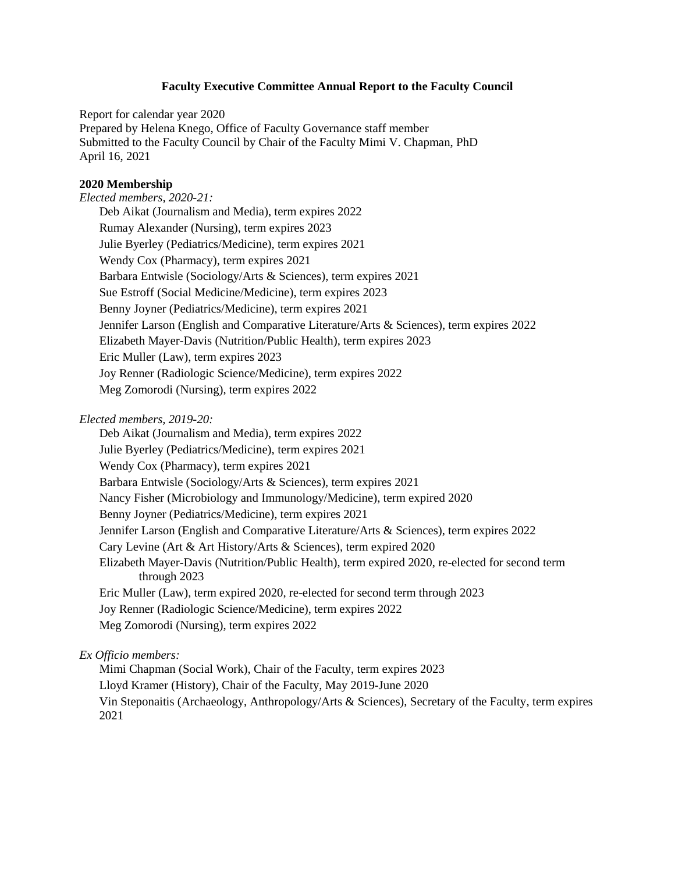#### **Faculty Executive Committee Annual Report to the Faculty Council**

Report for calendar year 2020 Prepared by Helena Knego, Office of Faculty Governance staff member Submitted to the Faculty Council by Chair of the Faculty Mimi V. Chapman, PhD April 16, 2021

#### **2020 Membership**

*Elected members, 2020-21:*  Deb Aikat (Journalism and Media), term expires 2022 Rumay Alexander (Nursing), term expires 2023 Julie Byerley (Pediatrics/Medicine), term expires 2021 Wendy Cox (Pharmacy), term expires 2021 Barbara Entwisle (Sociology/Arts & Sciences), term expires 2021 Sue Estroff (Social Medicine/Medicine), term expires 2023 Benny Joyner (Pediatrics/Medicine), term expires 2021 Jennifer Larson (English and Comparative Literature/Arts & Sciences), term expires 2022 Elizabeth Mayer-Davis (Nutrition/Public Health), term expires 2023 Eric Muller (Law), term expires 2023 Joy Renner (Radiologic Science/Medicine), term expires 2022 Meg Zomorodi (Nursing), term expires 2022

# *Elected members, 2019-20:*

Deb Aikat (Journalism and Media), term expires 2022 Julie Byerley (Pediatrics/Medicine), term expires 2021 Wendy Cox (Pharmacy), term expires 2021 Barbara Entwisle (Sociology/Arts & Sciences), term expires 2021 Nancy Fisher (Microbiology and Immunology/Medicine), term expired 2020 Benny Joyner (Pediatrics/Medicine), term expires 2021 Jennifer Larson (English and Comparative Literature/Arts & Sciences), term expires 2022 Cary Levine (Art & Art History/Arts & Sciences), term expired 2020 Elizabeth Mayer-Davis (Nutrition/Public Health), term expired 2020, re-elected for second term through 2023 Eric Muller (Law), term expired 2020, re-elected for second term through 2023 Joy Renner (Radiologic Science/Medicine), term expires 2022 Meg Zomorodi (Nursing), term expires 2022

# *Ex Officio members:*

Mimi Chapman (Social Work), Chair of the Faculty, term expires 2023 Lloyd Kramer (History), Chair of the Faculty, May 2019-June 2020 Vin Steponaitis (Archaeology, Anthropology/Arts & Sciences), Secretary of the Faculty, term expires 2021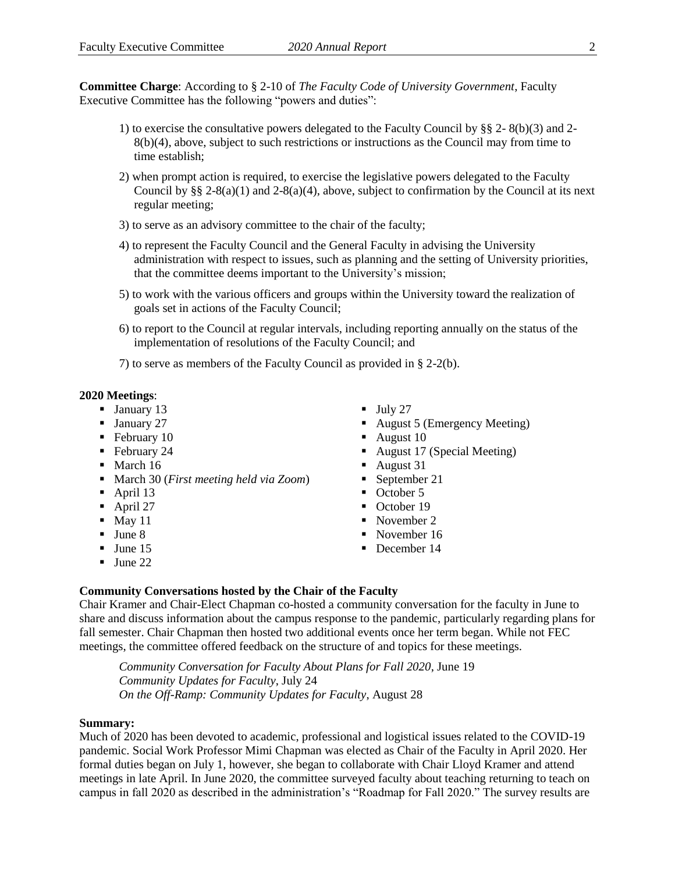**Committee Charge**: According to § 2-10 of *The Faculty Code of University Government*, Faculty Executive Committee has the following "powers and duties":

- 1) to exercise the consultative powers delegated to the Faculty Council by §§ 2- 8(b)(3) and 2- 8(b)(4), above, subject to such restrictions or instructions as the Council may from time to time establish;
- 2) when prompt action is required, to exercise the legislative powers delegated to the Faculty Council by §§ 2-8(a)(1) and 2-8(a)(4), above, subject to confirmation by the Council at its next regular meeting;
- 3) to serve as an advisory committee to the chair of the faculty;
- 4) to represent the Faculty Council and the General Faculty in advising the University administration with respect to issues, such as planning and the setting of University priorities, that the committee deems important to the University's mission;
- 5) to work with the various officers and groups within the University toward the realization of goals set in actions of the Faculty Council;
- 6) to report to the Council at regular intervals, including reporting annually on the status of the implementation of resolutions of the Faculty Council; and
- 7) to serve as members of the Faculty Council as provided in § 2-2(b).

#### **2020 Meetings**:

- **January 13**
- **January 27**
- February 10
- February 24
- $\blacksquare$  March 16
- March 30 (*First meeting held via Zoom*)
- $\blacksquare$  April 13
- $\blacksquare$  April 27
- $\blacksquare$  May 11
- $June 8$
- $\blacksquare$  June 15
- $\blacksquare$  June 22
- $\blacksquare$  July 27
- August 5 (Emergency Meeting)
- August  $10$
- August 17 (Special Meeting)
- August 31
- September 21
- October 5
- October 19
- November 2
- November 16
- December 14

## **Community Conversations hosted by the Chair of the Faculty**

Chair Kramer and Chair-Elect Chapman co-hosted a community conversation for the faculty in June to share and discuss information about the campus response to the pandemic, particularly regarding plans for fall semester. Chair Chapman then hosted two additional events once her term began. While not FEC meetings, the committee offered feedback on the structure of and topics for these meetings.

*Community Conversation for Faculty About Plans for Fall 2020*, June 19 *Community Updates for Faculty*, July 24 *On the Off-Ramp: Community Updates for Faculty*, August 28

#### **Summary:**

Much of 2020 has been devoted to academic, professional and logistical issues related to the COVID-19 pandemic. Social Work Professor Mimi Chapman was elected as Chair of the Faculty in April 2020. Her formal duties began on July 1, however, she began to collaborate with Chair Lloyd Kramer and attend meetings in late April. In June 2020, the committee surveyed faculty about teaching returning to teach on campus in fall 2020 as described in the administration's "Roadmap for Fall 2020." The survey results are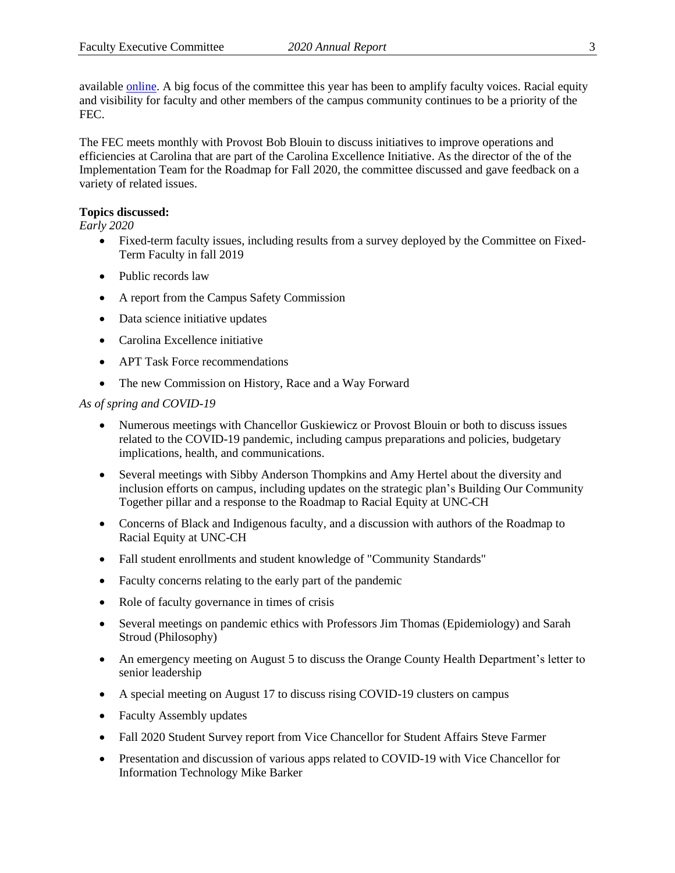available [online.](https://facultygov.unc.edu/2020/06/teaching-in-fall-2020-survey-data/) A big focus of the committee this year has been to amplify faculty voices. Racial equity and visibility for faculty and other members of the campus community continues to be a priority of the FEC.

The FEC meets monthly with Provost Bob Blouin to discuss initiatives to improve operations and efficiencies at Carolina that are part of the Carolina Excellence Initiative. As the director of the of the Implementation Team for the Roadmap for Fall 2020, the committee discussed and gave feedback on a variety of related issues.

# **Topics discussed:**

*Early 2020*

- Fixed-term faculty issues, including results from a survey deployed by the Committee on Fixed-Term Faculty in fall 2019
- Public records law
- A report from the Campus Safety Commission
- Data science initiative updates
- Carolina Excellence initiative
- APT Task Force recommendations
- The new Commission on History, Race and a Way Forward

# *As of spring and COVID-19*

- Numerous meetings with Chancellor Guskiewicz or Provost Blouin or both to discuss issues related to the COVID-19 pandemic, including campus preparations and policies, budgetary implications, health, and communications.
- Several meetings with Sibby Anderson Thompkins and Amy Hertel about the diversity and inclusion efforts on campus, including updates on the strategic plan's Building Our Community Together pillar and a response to the Roadmap to Racial Equity at UNC-CH
- Concerns of Black and Indigenous faculty, and a discussion with authors of the Roadmap to Racial Equity at UNC-CH
- Fall student enrollments and student knowledge of "Community Standards"
- Faculty concerns relating to the early part of the pandemic
- Role of faculty governance in times of crisis
- Several meetings on pandemic ethics with Professors Jim Thomas (Epidemiology) and Sarah Stroud (Philosophy)
- An emergency meeting on August 5 to discuss the Orange County Health Department's letter to senior leadership
- A special meeting on August 17 to discuss rising COVID-19 clusters on campus
- Faculty Assembly updates
- Fall 2020 Student Survey report from Vice Chancellor for Student Affairs Steve Farmer
- Presentation and discussion of various apps related to COVID-19 with Vice Chancellor for Information Technology Mike Barker